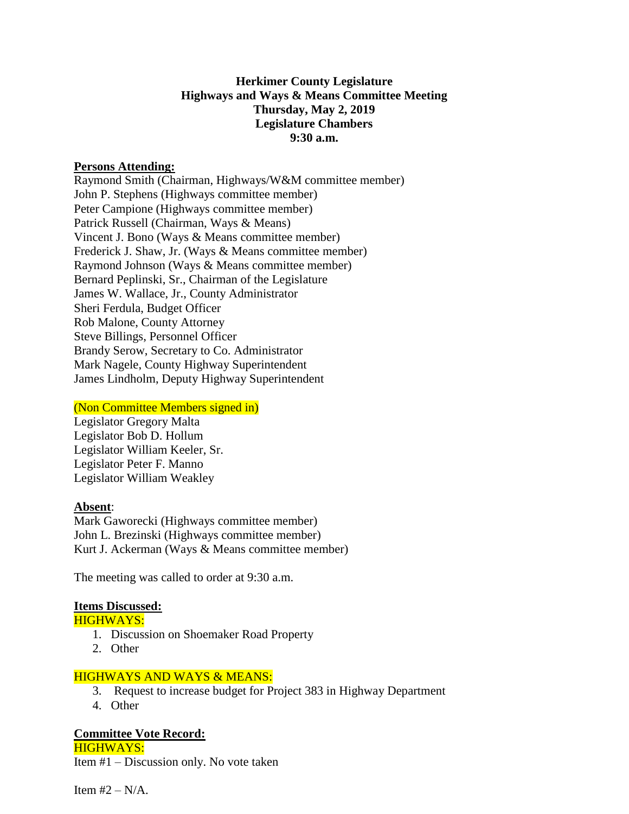## **Herkimer County Legislature Highways and Ways & Means Committee Meeting Thursday, May 2, 2019 Legislature Chambers 9:30 a.m.**

#### **Persons Attending:**

Raymond Smith (Chairman, Highways/W&M committee member) John P. Stephens (Highways committee member) Peter Campione (Highways committee member) Patrick Russell (Chairman, Ways & Means) Vincent J. Bono (Ways & Means committee member) Frederick J. Shaw, Jr. (Ways & Means committee member) Raymond Johnson (Ways & Means committee member) Bernard Peplinski, Sr., Chairman of the Legislature James W. Wallace, Jr., County Administrator Sheri Ferdula, Budget Officer Rob Malone, County Attorney Steve Billings, Personnel Officer Brandy Serow, Secretary to Co. Administrator Mark Nagele, County Highway Superintendent James Lindholm, Deputy Highway Superintendent

#### (Non Committee Members signed in)

Legislator Gregory Malta Legislator Bob D. Hollum Legislator William Keeler, Sr. Legislator Peter F. Manno Legislator William Weakley

## **Absent**:

Mark Gaworecki (Highways committee member) John L. Brezinski (Highways committee member) Kurt J. Ackerman (Ways & Means committee member)

The meeting was called to order at 9:30 a.m.

## **Items Discussed:**

#### HIGHWAYS:

- 1. Discussion on Shoemaker Road Property
- 2. Other

## HIGHWAYS AND WAYS & MEANS:

- 3. Request to increase budget for Project 383 in Highway Department
- 4. Other

## **Committee Vote Record:**

HIGHWAYS: Item #1 – Discussion only. No vote taken

Item  $#2 - N/A$ .